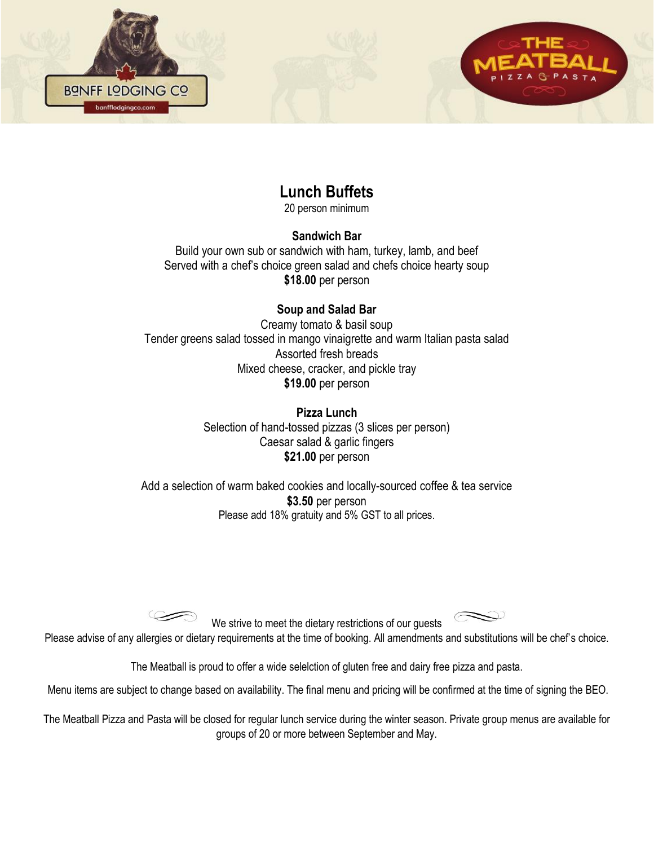

# **Lunch Buffets**

20 person minimum

#### **Sandwich Bar**

Build your own sub or sandwich with ham, turkey, lamb, and beef Served with a chef's choice green salad and chefs choice hearty soup **\$18.00** per person

### **Soup and Salad Bar**

Creamy tomato & basil soup Tender greens salad tossed in mango vinaigrette and warm Italian pasta salad Assorted fresh breads Mixed cheese, cracker, and pickle tray **\$19.00** per person

> **Pizza Lunch** Selection of hand-tossed pizzas (3 slices per person) Caesar salad & garlic fingers **\$21.00** per person

Add a selection of warm baked cookies and locally-sourced coffee & tea service **\$3.50** per person Please add 18% gratuity and 5% GST to all prices.

We strive to meet the dietary restrictions of our guests

Please advise of any allergies or dietary requirements at the time of booking. All amendments and substitutions will be chef's choice.

The Meatball is proud to offer a wide selelction of gluten free and dairy free pizza and pasta.

Menu items are subject to change based on availability. The final menu and pricing will be confirmed at the time of signing the BEO.

The Meatball Pizza and Pasta will be closed for regular lunch service during the winter season. Private group menus are available for groups of 20 or more between September and May.